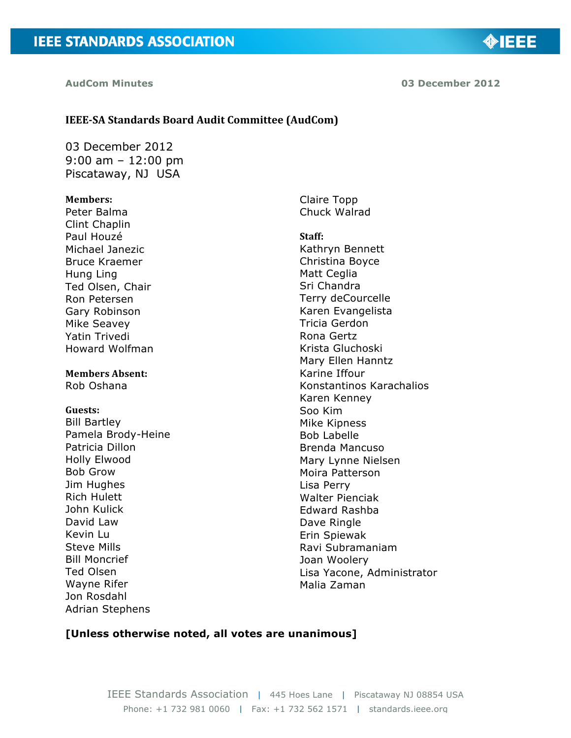**AudCom Minutes 03 December 2012**

# **IEEE-SA Standards Board Audit Committee (AudCom)**

03 December 2012 9:00 am – 12:00 pm Piscataway, NJ USA

#### **Members:**

Peter Balma Clint Chaplin Paul Houzé Michael Janezic Bruce Kraemer Hung Ling Ted Olsen, Chair Ron Petersen Gary Robinson Mike Seavey Yatin Trivedi Howard Wolfman

# **Members Absent:**

Rob Oshana

#### **Guests:**

Bill Bartley Pamela Brody-Heine Patricia Dillon Holly Elwood Bob Grow Jim Hughes Rich Hulett John Kulick David Law Kevin Lu Steve Mills Bill Moncrief Ted Olsen Wayne Rifer Jon Rosdahl Adrian Stephens

Claire Topp Chuck Walrad

**Staff:** Kathryn Bennett Christina Boyce Matt Ceglia Sri Chandra Terry deCourcelle Karen Evangelista Tricia Gerdon Rona Gertz Krista Gluchoski Mary Ellen Hanntz Karine Iffour Konstantinos Karachalios Karen Kenney Soo Kim Mike Kipness Bob Labelle Brenda Mancuso Mary Lynne Nielsen Moira Patterson Lisa Perry Walter Pienciak Edward Rashba Dave Ringle Erin Spiewak Ravi Subramaniam Joan Woolery Lisa Yacone, Administrator Malia Zaman

#### **[Unless otherwise noted, all votes are unanimous]**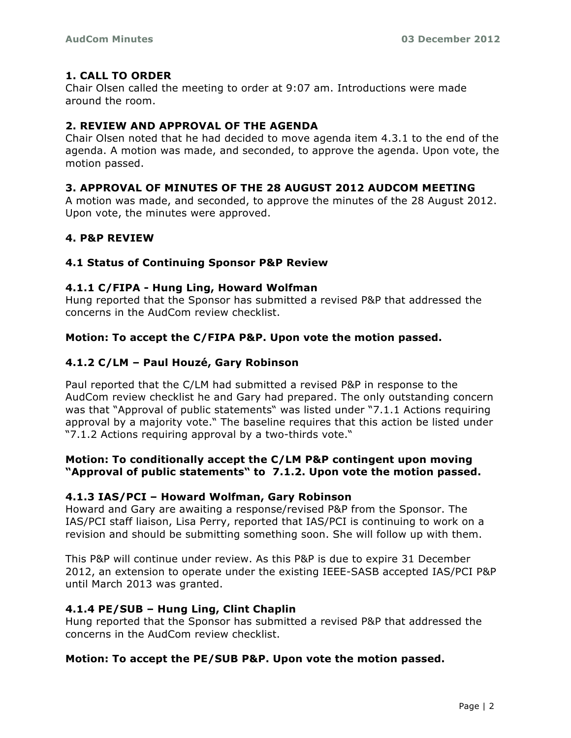# **1. CALL TO ORDER**

Chair Olsen called the meeting to order at 9:07 am. Introductions were made around the room.

# **2. REVIEW AND APPROVAL OF THE AGENDA**

Chair Olsen noted that he had decided to move agenda item 4.3.1 to the end of the agenda. A motion was made, and seconded, to approve the agenda. Upon vote, the motion passed.

# **3. APPROVAL OF MINUTES OF THE 28 AUGUST 2012 AUDCOM MEETING**

A motion was made, and seconded, to approve the minutes of the 28 August 2012. Upon vote, the minutes were approved.

# **4. P&P REVIEW**

# **4.1 Status of Continuing Sponsor P&P Review**

# **4.1.1 C/FIPA - Hung Ling, Howard Wolfman**

Hung reported that the Sponsor has submitted a revised P&P that addressed the concerns in the AudCom review checklist.

# **Motion: To accept the C/FIPA P&P. Upon vote the motion passed.**

# **4.1.2 C/LM – Paul Houzé, Gary Robinson**

Paul reported that the C/LM had submitted a revised P&P in response to the AudCom review checklist he and Gary had prepared. The only outstanding concern was that "Approval of public statements" was listed under "7.1.1 Actions requiring approval by a majority vote." The baseline requires that this action be listed under "7.1.2 Actions requiring approval by a two-thirds vote."

# **Motion: To conditionally accept the C/LM P&P contingent upon moving "Approval of public statements" to 7.1.2. Upon vote the motion passed.**

# **4.1.3 IAS/PCI – Howard Wolfman, Gary Robinson**

Howard and Gary are awaiting a response/revised P&P from the Sponsor. The IAS/PCI staff liaison, Lisa Perry, reported that IAS/PCI is continuing to work on a revision and should be submitting something soon. She will follow up with them.

This P&P will continue under review. As this P&P is due to expire 31 December 2012, an extension to operate under the existing IEEE-SASB accepted IAS/PCI P&P until March 2013 was granted.

# **4.1.4 PE/SUB – Hung Ling, Clint Chaplin**

Hung reported that the Sponsor has submitted a revised P&P that addressed the concerns in the AudCom review checklist.

# **Motion: To accept the PE/SUB P&P. Upon vote the motion passed.**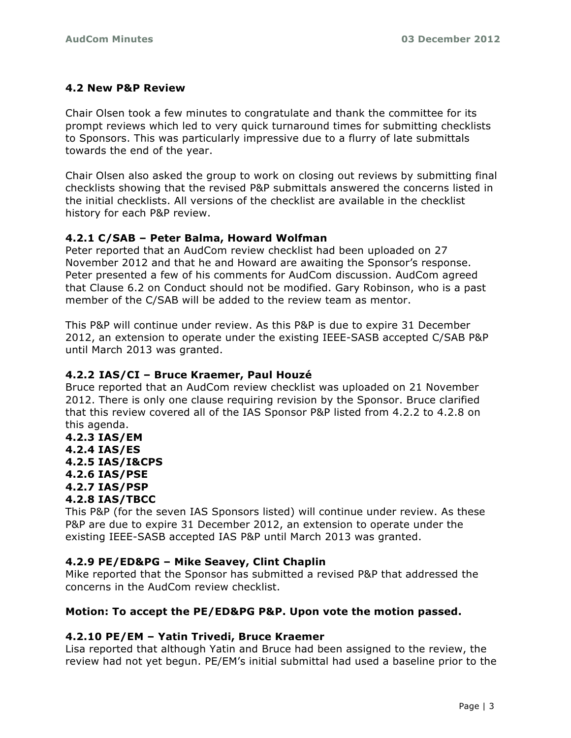# **4.2 New P&P Review**

Chair Olsen took a few minutes to congratulate and thank the committee for its prompt reviews which led to very quick turnaround times for submitting checklists to Sponsors. This was particularly impressive due to a flurry of late submittals towards the end of the year.

Chair Olsen also asked the group to work on closing out reviews by submitting final checklists showing that the revised P&P submittals answered the concerns listed in the initial checklists. All versions of the checklist are available in the checklist history for each P&P review.

# **4.2.1 C/SAB – Peter Balma, Howard Wolfman**

Peter reported that an AudCom review checklist had been uploaded on 27 November 2012 and that he and Howard are awaiting the Sponsor's response. Peter presented a few of his comments for AudCom discussion. AudCom agreed that Clause 6.2 on Conduct should not be modified. Gary Robinson, who is a past member of the C/SAB will be added to the review team as mentor.

This P&P will continue under review. As this P&P is due to expire 31 December 2012, an extension to operate under the existing IEEE-SASB accepted C/SAB P&P until March 2013 was granted.

# **4.2.2 IAS/CI – Bruce Kraemer, Paul Houzé**

Bruce reported that an AudCom review checklist was uploaded on 21 November 2012. There is only one clause requiring revision by the Sponsor. Bruce clarified that this review covered all of the IAS Sponsor P&P listed from 4.2.2 to 4.2.8 on this agenda.

**4.2.3 IAS/EM 4.2.4 IAS/ES 4.2.5 IAS/I&CPS 4.2.6 IAS/PSE 4.2.7 IAS/PSP 4.2.8 IAS/TBCC**

This P&P (for the seven IAS Sponsors listed) will continue under review. As these P&P are due to expire 31 December 2012, an extension to operate under the existing IEEE-SASB accepted IAS P&P until March 2013 was granted.

# **4.2.9 PE/ED&PG – Mike Seavey, Clint Chaplin**

Mike reported that the Sponsor has submitted a revised P&P that addressed the concerns in the AudCom review checklist.

# **Motion: To accept the PE/ED&PG P&P. Upon vote the motion passed.**

# **4.2.10 PE/EM – Yatin Trivedi, Bruce Kraemer**

Lisa reported that although Yatin and Bruce had been assigned to the review, the review had not yet begun. PE/EM's initial submittal had used a baseline prior to the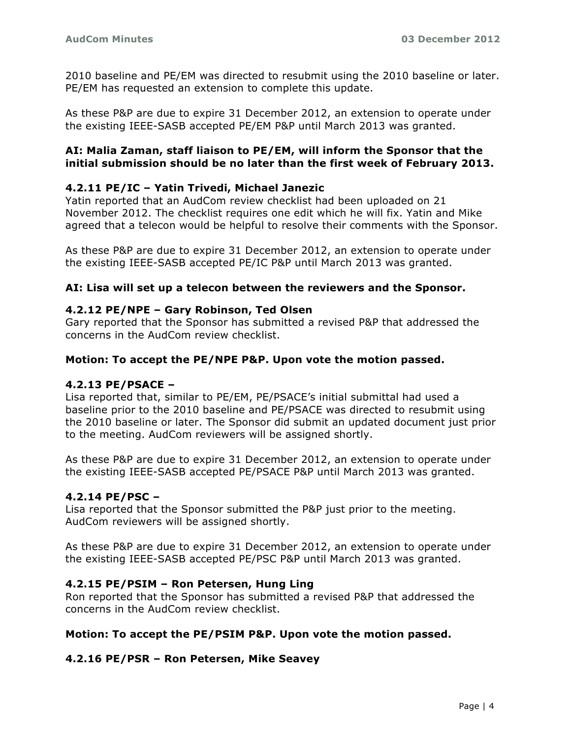2010 baseline and PE/EM was directed to resubmit using the 2010 baseline or later. PE/EM has requested an extension to complete this update.

As these P&P are due to expire 31 December 2012, an extension to operate under the existing IEEE-SASB accepted PE/EM P&P until March 2013 was granted.

# **AI: Malia Zaman, staff liaison to PE/EM, will inform the Sponsor that the initial submission should be no later than the first week of February 2013.**

# **4.2.11 PE/IC – Yatin Trivedi, Michael Janezic**

Yatin reported that an AudCom review checklist had been uploaded on 21 November 2012. The checklist requires one edit which he will fix. Yatin and Mike agreed that a telecon would be helpful to resolve their comments with the Sponsor.

As these P&P are due to expire 31 December 2012, an extension to operate under the existing IEEE-SASB accepted PE/IC P&P until March 2013 was granted.

### **AI: Lisa will set up a telecon between the reviewers and the Sponsor.**

# **4.2.12 PE/NPE – Gary Robinson, Ted Olsen**

Gary reported that the Sponsor has submitted a revised P&P that addressed the concerns in the AudCom review checklist.

### **Motion: To accept the PE/NPE P&P. Upon vote the motion passed.**

### **4.2.13 PE/PSACE –**

Lisa reported that, similar to PE/EM, PE/PSACE's initial submittal had used a baseline prior to the 2010 baseline and PE/PSACE was directed to resubmit using the 2010 baseline or later. The Sponsor did submit an updated document just prior to the meeting. AudCom reviewers will be assigned shortly.

As these P&P are due to expire 31 December 2012, an extension to operate under the existing IEEE-SASB accepted PE/PSACE P&P until March 2013 was granted.

### **4.2.14 PE/PSC –**

Lisa reported that the Sponsor submitted the P&P just prior to the meeting. AudCom reviewers will be assigned shortly.

As these P&P are due to expire 31 December 2012, an extension to operate under the existing IEEE-SASB accepted PE/PSC P&P until March 2013 was granted.

### **4.2.15 PE/PSIM – Ron Petersen, Hung Ling**

Ron reported that the Sponsor has submitted a revised P&P that addressed the concerns in the AudCom review checklist.

### **Motion: To accept the PE/PSIM P&P. Upon vote the motion passed.**

### **4.2.16 PE/PSR – Ron Petersen, Mike Seavey**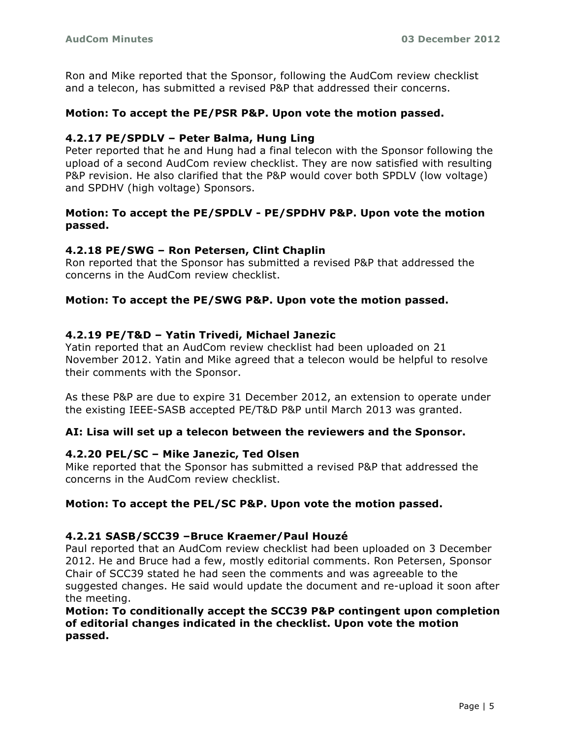Ron and Mike reported that the Sponsor, following the AudCom review checklist and a telecon, has submitted a revised P&P that addressed their concerns.

# **Motion: To accept the PE/PSR P&P. Upon vote the motion passed.**

# **4.2.17 PE/SPDLV – Peter Balma, Hung Ling**

Peter reported that he and Hung had a final telecon with the Sponsor following the upload of a second AudCom review checklist. They are now satisfied with resulting P&P revision. He also clarified that the P&P would cover both SPDLV (low voltage) and SPDHV (high voltage) Sponsors.

# **Motion: To accept the PE/SPDLV - PE/SPDHV P&P. Upon vote the motion passed.**

### **4.2.18 PE/SWG – Ron Petersen, Clint Chaplin**

Ron reported that the Sponsor has submitted a revised P&P that addressed the concerns in the AudCom review checklist.

# **Motion: To accept the PE/SWG P&P. Upon vote the motion passed.**

### **4.2.19 PE/T&D – Yatin Trivedi, Michael Janezic**

Yatin reported that an AudCom review checklist had been uploaded on 21 November 2012. Yatin and Mike agreed that a telecon would be helpful to resolve their comments with the Sponsor.

As these P&P are due to expire 31 December 2012, an extension to operate under the existing IEEE-SASB accepted PE/T&D P&P until March 2013 was granted.

### **AI: Lisa will set up a telecon between the reviewers and the Sponsor.**

### **4.2.20 PEL/SC – Mike Janezic, Ted Olsen**

Mike reported that the Sponsor has submitted a revised P&P that addressed the concerns in the AudCom review checklist.

### **Motion: To accept the PEL/SC P&P. Upon vote the motion passed.**

#### **4.2.21 SASB/SCC39 –Bruce Kraemer/Paul Houzé**

Paul reported that an AudCom review checklist had been uploaded on 3 December 2012. He and Bruce had a few, mostly editorial comments. Ron Petersen, Sponsor Chair of SCC39 stated he had seen the comments and was agreeable to the suggested changes. He said would update the document and re-upload it soon after the meeting.

# **Motion: To conditionally accept the SCC39 P&P contingent upon completion of editorial changes indicated in the checklist. Upon vote the motion passed.**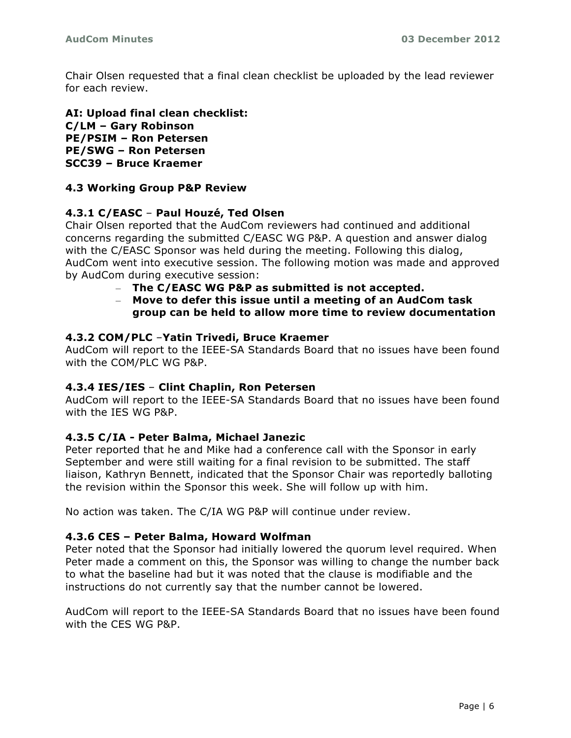Chair Olsen requested that a final clean checklist be uploaded by the lead reviewer for each review.

**AI: Upload final clean checklist: C/LM – Gary Robinson PE/PSIM – Ron Petersen PE/SWG – Ron Petersen SCC39 – Bruce Kraemer**

# **4.3 Working Group P&P Review**

# **4.3.1 C/EASC** – **Paul Houzé, Ted Olsen**

Chair Olsen reported that the AudCom reviewers had continued and additional concerns regarding the submitted C/EASC WG P&P. A question and answer dialog with the C/EASC Sponsor was held during the meeting. Following this dialog, AudCom went into executive session. The following motion was made and approved by AudCom during executive session:

- **The C/EASC WG P&P as submitted is not accepted.**
- **Move to defer this issue until a meeting of an AudCom task group can be held to allow more time to review documentation**

#### **4.3.2 COM/PLC** –**Yatin Trivedi, Bruce Kraemer**

AudCom will report to the IEEE-SA Standards Board that no issues have been found with the COM/PLC WG P&P.

### **4.3.4 IES/IES** – **Clint Chaplin, Ron Petersen**

AudCom will report to the IEEE-SA Standards Board that no issues have been found with the IES WG P&P.

### **4.3.5 C/IA - Peter Balma, Michael Janezic**

Peter reported that he and Mike had a conference call with the Sponsor in early September and were still waiting for a final revision to be submitted. The staff liaison, Kathryn Bennett, indicated that the Sponsor Chair was reportedly balloting the revision within the Sponsor this week. She will follow up with him.

No action was taken. The C/IA WG P&P will continue under review.

#### **4.3.6 CES – Peter Balma, Howard Wolfman**

Peter noted that the Sponsor had initially lowered the quorum level required. When Peter made a comment on this, the Sponsor was willing to change the number back to what the baseline had but it was noted that the clause is modifiable and the instructions do not currently say that the number cannot be lowered.

AudCom will report to the IEEE-SA Standards Board that no issues have been found with the CES WG P&P.